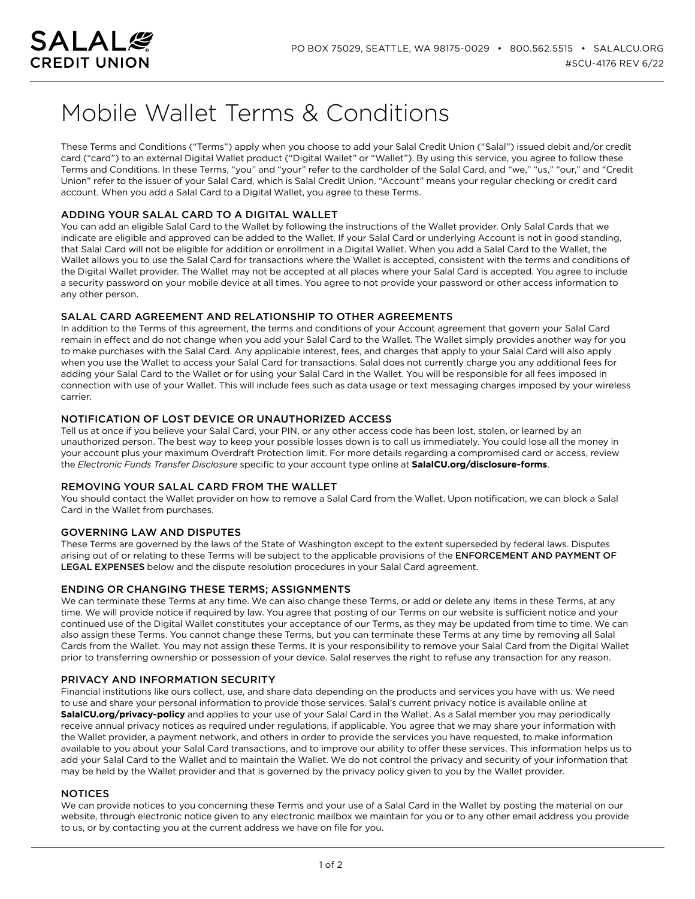

# Mobile Wallet Terms & Conditions

These Terms and Conditions ("Terms") apply when you choose to add your Salal Credit Union ("Salal") issued debit and/or credit card ("card") to an external Digital Wallet product ("Digital Wallet" or "Wallet"). By using this service, you agree to follow these Terms and Conditions. In these Terms, "you" and "your" refer to the cardholder of the Salal Card, and "we," "us," "our," and "Credit Union" refer to the issuer of your Salal Card, which is Salal Credit Union. "Account" means your regular checking or credit card account. When you add a Salal Card to a Digital Wallet, you agree to these Terms.

# ADDING YOUR SALAL CARD TO A DIGITAL WALLET

You can add an eligible Salal Card to the Wallet by following the instructions of the Wallet provider. Only Salal Cards that we indicate are eligible and approved can be added to the Wallet. If your Salal Card or underlying Account is not in good standing, that Salal Card will not be eligible for addition or enrollment in a Digital Wallet. When you add a Salal Card to the Wallet, the Wallet allows you to use the Salal Card for transactions where the Wallet is accepted, consistent with the terms and conditions of the Digital Wallet provider. The Wallet may not be accepted at all places where your Salal Card is accepted. You agree to include a security password on your mobile device at all times. You agree to not provide your password or other access information to any other person.

# SALAL CARD AGREEMENT AND RELATIONSHIP TO OTHER AGREEMENTS

In addition to the Terms of this agreement, the terms and conditions of your Account agreement that govern your Salal Card remain in effect and do not change when you add your Salal Card to the Wallet. The Wallet simply provides another way for you to make purchases with the Salal Card. Any applicable interest, fees, and charges that apply to your Salal Card will also apply when you use the Wallet to access your Salal Card for transactions. Salal does not currently charge you any additional fees for adding your Salal Card to the Wallet or for using your Salal Card in the Wallet. You will be responsible for all fees imposed in connection with use of your Wallet. This will include fees such as data usage or text messaging charges imposed by your wireless carrier.

# NOTIFICATION OF LOST DEVICE OR UNAUTHORIZED ACCESS

Tell us at once if you believe your Salal Card, your PIN, or any other access code has been lost, stolen, or learned by an unauthorized person. The best way to keep your possible losses down is to call us immediately. You could lose all the money in your account plus your maximum Overdraft Protection limit. For more details regarding a compromised card or access, review the *Electronic Funds Transfer Disclosure* specific to your account type online at **[SalalCU.org/disclosure-forms](https://www.salalcu.org/disclosure-forms/)**.

#### REMOVING YOUR SALAL CARD FROM THE WALLET

You should contact the Wallet provider on how to remove a Salal Card from the Wallet. Upon notification, we can block a Salal Card in the Wallet from purchases.

#### GOVERNING LAW AND DISPUTES

These Terms are governed by the laws of the State of Washington except to the extent superseded by federal laws. Disputes arising out of or relating to these Terms will be subject to the applicable provisions of the ENFORCEMENT AND PAYMENT OF LEGAL EXPENSES below and the dispute resolution procedures in your Salal Card agreement.

#### ENDING OR CHANGING THESE TERMS; ASSIGNMENTS

We can terminate these Terms at any time. We can also change these Terms, or add or delete any items in these Terms, at any time. We will provide notice if required by law. You agree that posting of our Terms on our website is sufficient notice and your continued use of the Digital Wallet constitutes your acceptance of our Terms, as they may be updated from time to time. We can also assign these Terms. You cannot change these Terms, but you can terminate these Terms at any time by removing all Salal Cards from the Wallet. You may not assign these Terms. It is your responsibility to remove your Salal Card from the Digital Wallet prior to transferring ownership or possession of your device. Salal reserves the right to refuse any transaction for any reason.

#### PRIVACY AND INFORMATION SECURITY

Financial institutions like ours collect, use, and share data depending on the products and services you have with us. We need to use and share your personal information to provide those services. Salal's current privacy notice is available online at **[SalalCU.org/privacy-policy](https://www.salalcu.org/privacy-policy/)** and applies to your use of your Salal Card in the Wallet. As a Salal member you may periodically receive annual privacy notices as required under regulations, if applicable. You agree that we may share your information with the Wallet provider, a payment network, and others in order to provide the services you have requested, to make information available to you about your Salal Card transactions, and to improve our ability to offer these services. This information helps us to add your Salal Card to the Wallet and to maintain the Wallet. We do not control the privacy and security of your information that may be held by the Wallet provider and that is governed by the privacy policy given to you by the Wallet provider.

#### NOTICES

We can provide notices to you concerning these Terms and your use of a Salal Card in the Wallet by posting the material on our website, through electronic notice given to any electronic mailbox we maintain for you or to any other email address you provide to us, or by contacting you at the current address we have on file for you.